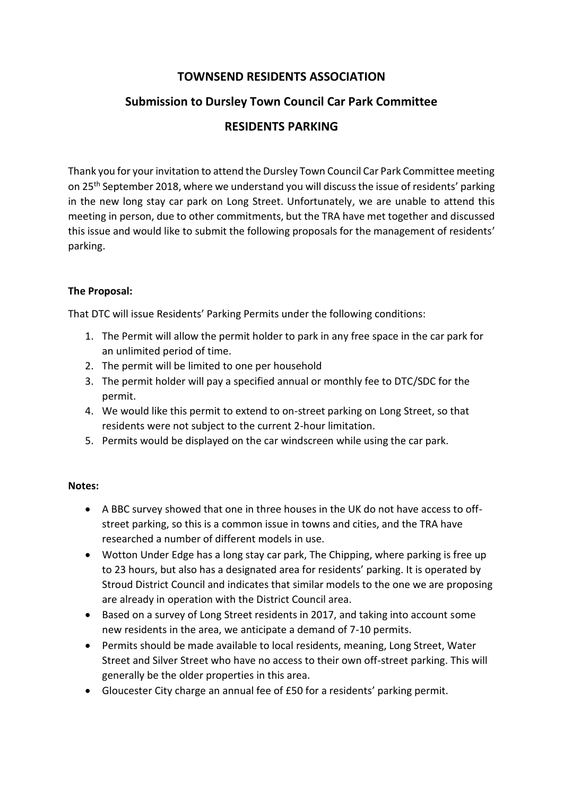# **TOWNSEND RESIDENTS ASSOCIATION**

# **Submission to Dursley Town Council Car Park Committee**

### **RESIDENTS PARKING**

Thank you for your invitation to attend the Dursley Town Council Car Park Committee meeting on 25th September 2018, where we understand you will discuss the issue of residents' parking in the new long stay car park on Long Street. Unfortunately, we are unable to attend this meeting in person, due to other commitments, but the TRA have met together and discussed this issue and would like to submit the following proposals for the management of residents' parking.

### **The Proposal:**

That DTC will issue Residents' Parking Permits under the following conditions:

- 1. The Permit will allow the permit holder to park in any free space in the car park for an unlimited period of time.
- 2. The permit will be limited to one per household
- 3. The permit holder will pay a specified annual or monthly fee to DTC/SDC for the permit.
- 4. We would like this permit to extend to on-street parking on Long Street, so that residents were not subject to the current 2-hour limitation.
- 5. Permits would be displayed on the car windscreen while using the car park.

### **Notes:**

- A BBC survey showed that one in three houses in the UK do not have access to offstreet parking, so this is a common issue in towns and cities, and the TRA have researched a number of different models in use.
- Wotton Under Edge has a long stay car park, The Chipping, where parking is free up to 23 hours, but also has a designated area for residents' parking. It is operated by Stroud District Council and indicates that similar models to the one we are proposing are already in operation with the District Council area.
- Based on a survey of Long Street residents in 2017, and taking into account some new residents in the area, we anticipate a demand of 7-10 permits.
- Permits should be made available to local residents, meaning, Long Street, Water Street and Silver Street who have no access to their own off-street parking. This will generally be the older properties in this area.
- Gloucester City charge an annual fee of £50 for a residents' parking permit.